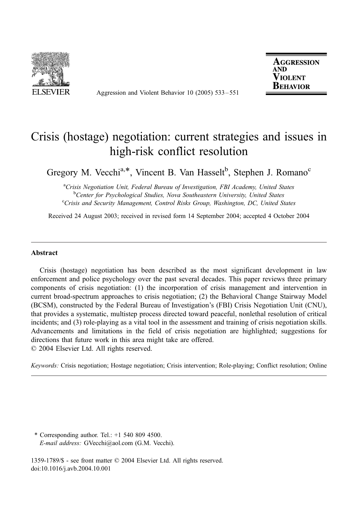

Aggression and Violent Behavior 10 (2005) 533 – 551

**AGGRESSION AND VIOLENT** BEHAVIOR

# Crisis (hostage) negotiation: current strategies and issues in high-risk conflict resolution

Gregory M. Vecchi<sup>a,\*</sup>, Vincent B. Van Hasselt<sup>b</sup>, Stephen J. Romano<sup>c</sup>

<sup>a</sup>Crisis Negotiation Unit, Federal Bureau of Investigation, FBI Academy, United States<br><sup>b</sup>Center for Psychological Studies, Nova Southeastern University, United States <sup>b</sup>Center for Psychological Studies, Nova Southeastern University, United States <sup>c</sup>Crisis and Security Management, Control Risks Group, Washington, DC, United States

Received 24 August 2003; received in revised form 14 September 2004; accepted 4 October 2004

### Abstract

Crisis (hostage) negotiation has been described as the most significant development in law enforcement and police psychology over the past several decades. This paper reviews three primary components of crisis negotiation: (1) the incorporation of crisis management and intervention in current broad-spectrum approaches to crisis negotiation; (2) the Behavioral Change Stairway Model (BCSM), constructed by the Federal Bureau of Investigation's (FBI) Crisis Negotiation Unit (CNU), that provides a systematic, multistep process directed toward peaceful, nonlethal resolution of critical incidents; and (3) role-playing as a vital tool in the assessment and training of crisis negotiation skills. Advancements and limitations in the field of crisis negotiation are highlighted; suggestions for directions that future work in this area might take are offered.  $© 2004 Elsevier Ltd. All rights reserved.$ 

Keywords: Crisis negotiation; Hostage negotiation; Crisis intervention; Role-playing; Conflict resolution; Online

\* Corresponding author. Tel.: +1 540 809 4500. E-mail address: GVecchi@aol.com (G.M. Vecchi).

1359-1789/\$ - see front matter © 2004 Elsevier Ltd. All rights reserved. doi:10.1016/j.avb.2004.10.001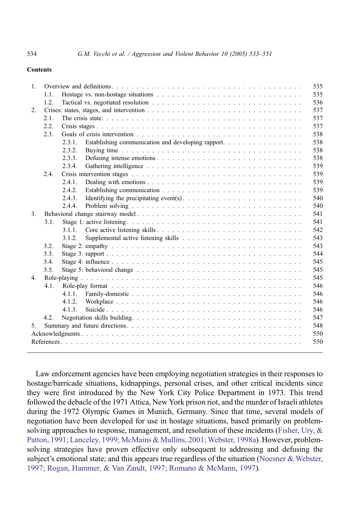### Contents

| $\mathbf{1}$ .            |      | 535                                                                 |
|---------------------------|------|---------------------------------------------------------------------|
|                           | 1.1. | 535                                                                 |
|                           | 1.2. | 536                                                                 |
| 2.                        |      | 537                                                                 |
| $\mathcal{E}$<br>4.<br>5. | 2.1. | 537                                                                 |
|                           | 2.2. | 537                                                                 |
|                           | 2.3. | 538                                                                 |
|                           |      | 538<br>2.3.1.<br>Establishing communication and developing rapport. |
|                           |      | 2.3.2.<br>538                                                       |
|                           |      | 538<br>2.3.3.                                                       |
|                           |      | 539<br>2.3.4                                                        |
|                           | 2.4. | 539                                                                 |
|                           |      | 539<br>2.4.1                                                        |
|                           |      | 2.4.2.<br>539                                                       |
|                           |      | 540<br>2.4.3                                                        |
|                           |      | 540<br>2.4.4.                                                       |
|                           |      | 541                                                                 |
|                           | 3.1. | 541                                                                 |
|                           |      | 542<br>3.1.1                                                        |
|                           |      | 543<br>3.1.2.                                                       |
|                           | 3.2. | 543                                                                 |
|                           | 3.3. | 544                                                                 |
|                           | 3.4. | 545                                                                 |
|                           | 3.5. | 545                                                                 |
|                           |      | 545                                                                 |
|                           | 4.1. | 546                                                                 |
|                           |      | 546<br>4.1.1.                                                       |
|                           |      | 546<br>4.1.2.                                                       |
|                           |      | 546<br>4.1.3                                                        |
|                           | 4.2. | 547                                                                 |
|                           |      | 548                                                                 |
|                           |      | 550                                                                 |
|                           |      | 550                                                                 |
|                           |      |                                                                     |

Law enforcement agencies have been employing negotiation strategies in their responses to hostage/barricade situations, kidnappings, personal crises, and other critical incidents since they were first introduced by the New York City Police Department in 1973. This trend followed the debacle of the 1971 Attica, New York prison riot, and the murder of Israeli athletes during the 1972 Olympic Games in Munich, Germany. Since that time, several models of negotiation have been developed for use in hostage situations, based primarily on problemsolving approaches to response, management, and resolution of these incidents (Fisher, Ury,  $\&$ Patton, 1991; Lanceley, 1999; McMains & Mullins, 2001; Webster, 1998a). However, problemsolving strategies have proven effective only subsequent to addressing and defusing the subject's emotional state; and this appears true regardless of the situation ([Noesner & Webster,](#page-18-0) 1997; Rogan, Hammer, & Van Zandt, 1997; Romano & McMann, 1997).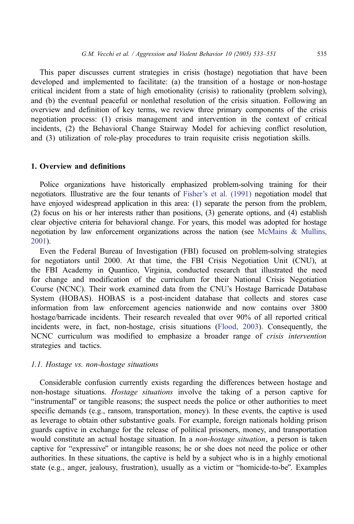This paper discusses current strategies in crisis (hostage) negotiation that have been developed and implemented to facilitate: (a) the transition of a hostage or non-hostage critical incident from a state of high emotionality (crisis) to rationality (problem solving), and (b) the eventual peaceful or nonlethal resolution of the crisis situation. Following an overview and definition of key terms, we review three primary components of the crisis negotiation process: (1) crisis management and intervention in the context of critical incidents, (2) the Behavioral Change Stairway Model for achieving conflict resolution, and (3) utilization of role-play procedures to train requisite crisis negotiation skills.

# 1. Overview and definitions

Police organizations have historically emphasized problem-solving training for their negotiators. Illustrative are the four tenants of [Fisher's et al. \(1991\)](#page-17-0) negotiation model that have enjoyed widespread application in this area: (1) separate the person from the problem, (2) focus on his or her interests rather than positions, (3) generate options, and (4) establish clear objective criteria for behavioral change. For years, this model was adopted for hostage negotiation by law enforcement organizations across the nation (see [McMains & Mullins,](#page-18-0) 2001).

Even the Federal Bureau of Investigation (FBI) focused on problem-solving strategies for negotiators until 2000. At that time, the FBI Crisis Negotiation Unit (CNU), at the FBI Academy in Quantico, Virginia, conducted research that illustrated the need for change and modification of the curriculum for their National Crisis Negotiation Course (NCNC). Their work examined data from the CNU's Hostage Barricade Database System (HOBAS). HOBAS is a post-incident database that collects and stores case information from law enforcement agencies nationwide and now contains over 3800 hostage/barricade incidents. Their research revealed that over 90% of all reported critical incidents were, in fact, non-hostage, crisis situations ([Flood, 2003\)](#page-17-0). Consequently, the NCNC curriculum was modified to emphasize a broader range of crisis intervention strategies and tactics.

### 1.1. Hostage vs. non-hostage situations

Considerable confusion currently exists regarding the differences between hostage and non-hostage situations. Hostage situations involve the taking of a person captive for "instrumental" or tangible reasons; the suspect needs the police or other authorities to meet specific demands (e.g., ransom, transportation, money). In these events, the captive is used as leverage to obtain other substantive goals. For example, foreign nationals holding prison guards captive in exchange for the release of political prisoners, money, and transportation would constitute an actual hostage situation. In a *non-hostage situation*, a person is taken captive for "expressive" or intangible reasons; he or she does not need the police or other authorities. In these situations, the captive is held by a subject who is in a highly emotional state (e.g., anger, jealousy, frustration), usually as a victim or "homicide-to-be". Examples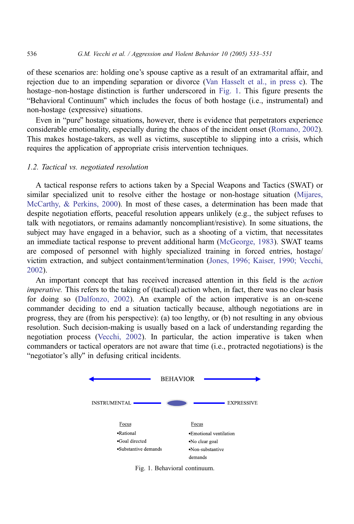of these scenarios are: holding one's spouse captive as a result of an extramarital affair, and rejection due to an impending separation or divorce ([Van Hasselt et al., in press c\)](#page-18-0). The hostage–non-hostage distinction is further underscored in Fig. 1. This figure presents the "Behavioral Continuum" which includes the focus of both hostage (i.e., instrumental) and non-hostage (expressive) situations.

Even in "pure" hostage situations, however, there is evidence that perpetrators experience considerable emotionality, especially during the chaos of the incident onset ([Romano, 2002\)](#page-18-0). This makes hostage-takers, as well as victims, susceptible to slipping into a crisis, which requires the application of appropriate crisis intervention techniques.

### 1.2. Tactical vs. negotiated resolution

A tactical response refers to actions taken by a Special Weapons and Tactics (SWAT) or similar specialized unit to resolve either the hostage or non-hostage situation ([Mijares,](#page-18-0) McCarthy, & Perkins, 2000). In most of these cases, a determination has been made that despite negotiation efforts, peaceful resolution appears unlikely (e.g., the subject refuses to talk with negotiators, or remains adamantly noncompliant/resistive). In some situations, the subject may have engaged in a behavior, such as a shooting of a victim, that necessitates an immediate tactical response to prevent additional harm ([McGeorge, 1983\)](#page-17-0). SWAT teams are composed of personnel with highly specialized training in forced entries, hostage/ victim extraction, and subject containment/termination ([Jones, 1996; Kaiser, 1990; Vecchi,](#page-17-0) 2002).

An important concept that has received increased attention in this field is the action imperative. This refers to the taking of (tactical) action when, in fact, there was no clear basis for doing so ([Dalfonzo, 2002\)](#page-17-0). An example of the action imperative is an on-scene commander deciding to end a situation tactically because, although negotiations are in progress, they are (from his perspective): (a) too lengthy, or (b) not resulting in any obvious resolution. Such decision-making is usually based on a lack of understanding regarding the negotiation process ([Vecchi, 2002\)](#page-18-0). In particular, the action imperative is taken when commanders or tactical operators are not aware that time (i.e., protracted negotiations) is the "negotiator's ally" in defusing critical incidents.



Fig. 1. Behavioral continuum.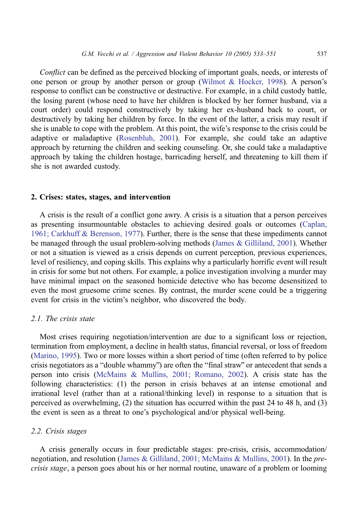Conflict can be defined as the perceived blocking of important goals, needs, or interests of one person or group by another person or group ([Wilmot & Hocker, 1998\)](#page-18-0). A person's response to conflict can be constructive or destructive. For example, in a child custody battle, the losing parent (whose need to have her children is blocked by her former husband, via a court order) could respond constructively by taking her ex-husband back to court, or destructively by taking her children by force. In the event of the latter, a crisis may result if she is unable to cope with the problem. At this point, the wife's response to the crisis could be adaptive or maladaptive ([Rosenbluh, 2001\)](#page-18-0). For example, she could take an adaptive approach by returning the children and seeking counseling. Or, she could take a maladaptive approach by taking the children hostage, barricading herself, and threatening to kill them if she is not awarded custody.

### 2. Crises: states, stages, and intervention

A crisis is the result of a conflict gone awry. A crisis is a situation that a person perceives as presenting insurmountable obstacles to achieving desired goals or outcomes ([Caplan,](#page-17-0) 1961; Carkhuff & Berenson, 1977). Further, there is the sense that these impediments cannot be managed through the usual problem-solving methods ([James & Gilliland, 2001\)](#page-17-0). Whether or not a situation is viewed as a crisis depends on current perception, previous experiences, level of resiliency, and coping skills. This explains why a particularly horrific event will result in crisis for some but not others. For example, a police investigation involving a murder may have minimal impact on the seasoned homicide detective who has become desensitized to even the most gruesome crime scenes. By contrast, the murder scene could be a triggering event for crisis in the victim's neighbor, who discovered the body.

# 2.1. The crisis state

Most crises requiring negotiation/intervention are due to a significant loss or rejection, termination from employment, a decline in health status, financial reversal, or loss of freedom [\(Marino, 1995\)](#page-17-0). Two or more losses within a short period of time (often referred to by police crisis negotiators as a "double whammy") are often the "final straw" or antecedent that sends a person into crisis ([McMains & Mullins, 2001; Romano, 2002\)](#page-18-0). A crisis state has the following characteristics: (1) the person in crisis behaves at an intense emotional and irrational level (rather than at a rational/thinking level) in response to a situation that is perceived as overwhelming, (2) the situation has occurred within the past 24 to 48 h, and (3) the event is seen as a threat to one's psychological and/or physical well-being.

### 2.2. Crisis stages

A crisis generally occurs in four predictable stages: pre-crisis, crisis, accommodation/ negotiation, and resolution ([James & Gilliland, 2001; McMains & Mullins, 2001\)](#page-17-0). In the precrisis stage, a person goes about his or her normal routine, unaware of a problem or looming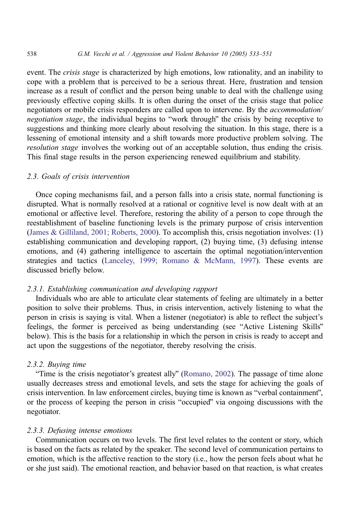event. The *crisis stage* is characterized by high emotions, low rationality, and an inability to cope with a problem that is perceived to be a serious threat. Here, frustration and tension increase as a result of conflict and the person being unable to deal with the challenge using previously effective coping skills. It is often during the onset of the crisis stage that police negotiators or mobile crisis responders are called upon to intervene. By the *accommodation*/ negotiation stage, the individual begins to "work through" the crisis by being receptive to suggestions and thinking more clearly about resolving the situation. In this stage, there is a lessening of emotional intensity and a shift towards more productive problem solving. The resolution stage involves the working out of an acceptable solution, thus ending the crisis. This final stage results in the person experiencing renewed equilibrium and stability.

### 2.3. Goals of crisis intervention

Once coping mechanisms fail, and a person falls into a crisis state, normal functioning is disrupted. What is normally resolved at a rational or cognitive level is now dealt with at an emotional or affective level. Therefore, restoring the ability of a person to cope through the reestablishment of baseline functioning levels is the primary purpose of crisis intervention ([James & Gilliland, 2001; Roberts, 2000\)](#page-17-0). To accomplish this, crisis negotiation involves: (1) establishing communication and developing rapport, (2) buying time, (3) defusing intense emotions, and (4) gathering intelligence to ascertain the optimal negotiation/intervention strategies and tactics ([Lanceley, 1999; Romano & McMann, 1997\)](#page-17-0). These events are discussed briefly below.

#### 2.3.1. Establishing communication and developing rapport

Individuals who are able to articulate clear statements of feeling are ultimately in a better position to solve their problems. Thus, in crisis intervention, actively listening to what the person in crisis is saying is vital. When a listener (negotiator) is able to reflect the subject's feelings, the former is perceived as being understanding (see "Active Listening Skills" below). This is the basis for a relationship in which the person in crisis is ready to accept and act upon the suggestions of the negotiator, thereby resolving the crisis.

### 2.3.2. Buying time

"Time is the crisis negotiator's greatest ally" ([Romano, 2002\)](#page-18-0). The passage of time alone usually decreases stress and emotional levels, and sets the stage for achieving the goals of crisis intervention. In law enforcement circles, buying time is known as "verbal containment", or the process of keeping the person in crisis "occupied" via ongoing discussions with the negotiator.

### 2.3.3. Defusing intense emotions

Communication occurs on two levels. The first level relates to the content or story, which is based on the facts as related by the speaker. The second level of communication pertains to emotion, which is the affective reaction to the story (i.e., how the person feels about what he or she just said). The emotional reaction, and behavior based on that reaction, is what creates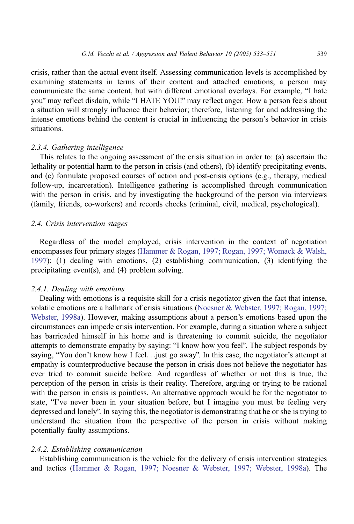crisis, rather than the actual event itself. Assessing communication levels is accomplished by examining statements in terms of their content and attached emotions; a person may communicate the same content, but with different emotional overlays. For example, "I hate you" may reflect disdain, while "I HATE YOU!" may reflect anger. How a person feels about a situation will strongly influence their behavior; therefore, listening for and addressing the intense emotions behind the content is crucial in influencing the person's behavior in crisis situations.

### 2.3.4. Gathering intelligence

This relates to the ongoing assessment of the crisis situation in order to: (a) ascertain the lethality or potential harm to the person in crisis (and others), (b) identify precipitating events, and (c) formulate proposed courses of action and post-crisis options (e.g., therapy, medical follow-up, incarceration). Intelligence gathering is accomplished through communication with the person in crisis, and by investigating the background of the person via interviews (family, friends, co-workers) and records checks (criminal, civil, medical, psychological).

# 2.4. Crisis intervention stages

Regardless of the model employed, crisis intervention in the context of negotiation encompasses four primary stages ([Hammer & Rogan, 1997; Rogan, 1997; Womack & Walsh,](#page-17-0) 1997): (1) dealing with emotions, (2) establishing communication, (3) identifying the precipitating event(s), and (4) problem solving.

### 2.4.1. Dealing with emotions

Dealing with emotions is a requisite skill for a crisis negotiator given the fact that intense, volatile emotions are a hallmark of crisis situations ([Noesner & Webster, 1997; Rogan, 1997;](#page-18-0) Webster, 1998a). However, making assumptions about a person's emotions based upon the circumstances can impede crisis intervention. For example, during a situation where a subject has barricaded himself in his home and is threatening to commit suicide, the negotiator attempts to demonstrate empathy by saying: "I know how you feel". The subject responds by saying, "You don't know how I feel... just go away". In this case, the negotiator's attempt at empathy is counterproductive because the person in crisis does not believe the negotiator has ever tried to commit suicide before. And regardless of whether or not this is true, the perception of the person in crisis is their reality. Therefore, arguing or trying to be rational with the person in crisis is pointless. An alternative approach would be for the negotiator to state, "I've never been in your situation before, but I imagine you must be feeling very depressed and lonely". In saying this, the negotiator is demonstrating that he or she is trying to understand the situation from the perspective of the person in crisis without making potentially faulty assumptions.

### 2.4.2. Establishing communication

Establishing communication is the vehicle for the delivery of crisis intervention strategies and tactics ([Hammer & Rogan, 1997; Noesner & Webster, 1997; Webster, 1998a\)](#page-17-0). The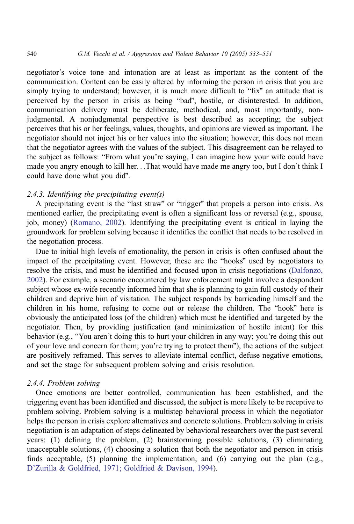negotiator's voice tone and intonation are at least as important as the content of the communication. Content can be easily altered by informing the person in crisis that you are simply trying to understand; however, it is much more difficult to "fix" an attitude that is perceived by the person in crisis as being "bad", hostile, or disinterested. In addition, communication delivery must be deliberate, methodical, and, most importantly, nonjudgmental. A nonjudgmental perspective is best described as accepting; the subject perceives that his or her feelings, values, thoughts, and opinions are viewed as important. The negotiator should not inject his or her values into the situation; however, this does not mean that the negotiator agrees with the values of the subject. This disagreement can be relayed to the subject as follows: "From what you're saying, I can imagine how your wife could have made you angry enough to kill her...That would have made me angry too, but I don't think I could have done what you did".

# 2.4.3. Identifying the precipitating event(s)

A precipitating event is the "last straw" or "trigger" that propels a person into crisis. As mentioned earlier, the precipitating event is often a significant loss or reversal (e.g., spouse, job, money) ([Romano, 2002\)](#page-18-0). Identifying the precipitating event is critical in laying the groundwork for problem solving because it identifies the conflict that needs to be resolved in the negotiation process.

Due to initial high levels of emotionality, the person in crisis is often confused about the impact of the precipitating event. However, these are the "hooks" used by negotiators to resolve the crisis, and must be identified and focused upon in crisis negotiations ([Dalfonzo,](#page-17-0) 2002). For example, a scenario encountered by law enforcement might involve a despondent subject whose ex-wife recently informed him that she is planning to gain full custody of their children and deprive him of visitation. The subject responds by barricading himself and the children in his home, refusing to come out or release the children. The "hook" here is obviously the anticipated loss (of the children) which must be identified and targeted by the negotiator. Then, by providing justification (and minimization of hostile intent) for this behavior (e.g., "You aren't doing this to hurt your children in any way; you're doing this out of your love and concern for them; you're trying to protect them''), the actions of the subject are positively reframed. This serves to alleviate internal conflict, defuse negative emotions, and set the stage for subsequent problem solving and crisis resolution.

# 2.4.4. Problem solving

Once emotions are better controlled, communication has been established, and the triggering event has been identified and discussed, the subject is more likely to be receptive to problem solving. Problem solving is a multistep behavioral process in which the negotiator helps the person in crisis explore alternatives and concrete solutions. Problem solving in crisis negotiation is an adaptation of steps delineated by behavioral researchers over the past several years: (1) defining the problem, (2) brainstorming possible solutions, (3) eliminating unacceptable solutions, (4) choosing a solution that both the negotiator and person in crisis finds acceptable, (5) planning the implementation, and (6) carrying out the plan (e.g., [D'Zurilla & Goldfried, 1971; Goldfried & Davison, 1994\)](#page-17-0).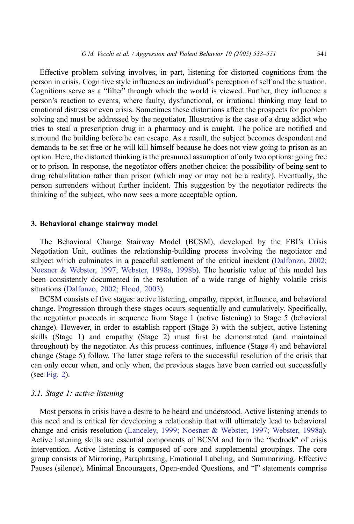Effective problem solving involves, in part, listening for distorted cognitions from the person in crisis. Cognitive style influences an individual's perception of self and the situation. Cognitions serve as a "filter" through which the world is viewed. Further, they influence a person's reaction to events, where faulty, dysfunctional, or irrational thinking may lead to emotional distress or even crisis. Sometimes these distortions affect the prospects for problem solving and must be addressed by the negotiator. Illustrative is the case of a drug addict who tries to steal a prescription drug in a pharmacy and is caught. The police are notified and surround the building before he can escape. As a result, the subject becomes despondent and demands to be set free or he will kill himself because he does not view going to prison as an option. Here, the distorted thinking is the presumed assumption of only two options: going free or to prison. In response, the negotiator offers another choice: the possibility of being sent to drug rehabilitation rather than prison (which may or may not be a reality). Eventually, the person surrenders without further incident. This suggestion by the negotiator redirects the thinking of the subject, who now sees a more acceptable option.

### 3. Behavioral change stairway model

The Behavioral Change Stairway Model (BCSM), developed by the FBI's Crisis Negotiation Unit, outlines the relationship-building process involving the negotiator and subject which culminates in a peaceful settlement of the critical incident ([Dalfonzo, 2002;](#page-17-0) Noesner & Webster, 1997; Webster, 1998a, 1998b). The heuristic value of this model has been consistently documented in the resolution of a wide range of highly volatile crisis situations ([Dalfonzo, 2002; Flood, 2003\)](#page-17-0).

BCSM consists of five stages: active listening, empathy, rapport, influence, and behavioral change. Progression through these stages occurs sequentially and cumulatively. Specifically, the negotiator proceeds in sequence from Stage 1 (active listening) to Stage 5 (behavioral change). However, in order to establish rapport (Stage 3) with the subject, active listening skills (Stage 1) and empathy (Stage 2) must first be demonstrated (and maintained throughout) by the negotiator. As this process continues, influence (Stage 4) and behavioral change (Stage 5) follow. The latter stage refers to the successful resolution of the crisis that can only occur when, and only when, the previous stages have been carried out successfully (see [Fig. 2\)](#page-9-0).

### 3.1. Stage 1: active listening

Most persons in crisis have a desire to be heard and understood. Active listening attends to this need and is critical for developing a relationship that will ultimately lead to behavioral change and crisis resolution ([Lanceley, 1999; Noesner & Webster, 1997; Webster, 1998a\)](#page-17-0). Active listening skills are essential components of BCSM and form the "bedrock" of crisis intervention. Active listening is composed of core and supplemental groupings. The core group consists of Mirroring, Paraphrasing, Emotional Labeling, and Summarizing. Effective Pauses (silence), Minimal Encouragers, Open-ended Questions, and "I" statements comprise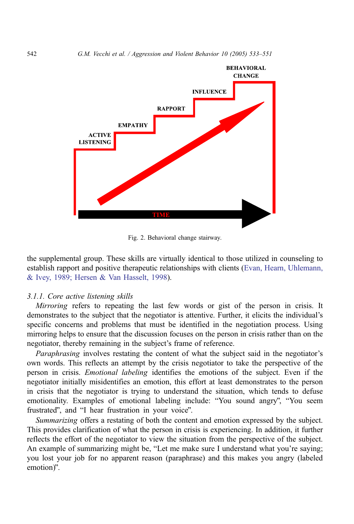<span id="page-9-0"></span>

Fig. 2. Behavioral change stairway.

the supplemental group. These skills are virtually identical to those utilized in counseling to establish rapport and positive therapeutic relationships with clients ([Evan, Hearn, Uhlemann,](#page-17-0) & Ivey, 1989; Hersen & Van Hasselt, 1998).

#### 3.1.1. Core active listening skills

Mirroring refers to repeating the last few words or gist of the person in crisis. It demonstrates to the subject that the negotiator is attentive. Further, it elicits the individual's specific concerns and problems that must be identified in the negotiation process. Using mirroring helps to ensure that the discussion focuses on the person in crisis rather than on the negotiator, thereby remaining in the subject's frame of reference.

Paraphrasing involves restating the content of what the subject said in the negotiator's own words. This reflects an attempt by the crisis negotiator to take the perspective of the person in crisis. Emotional labeling identifies the emotions of the subject. Even if the negotiator initially misidentifies an emotion, this effort at least demonstrates to the person in crisis that the negotiator is trying to understand the situation, which tends to defuse emotionality. Examples of emotional labeling include: "You sound angry", "You seem frustrated", and "I hear frustration in your voice".

Summarizing offers a restating of both the content and emotion expressed by the subject. This provides clarification of what the person in crisis is experiencing. In addition, it further reflects the effort of the negotiator to view the situation from the perspective of the subject. An example of summarizing might be, "Let me make sure I understand what you're saying; you lost your job for no apparent reason (paraphrase) and this makes you angry (labeled emotion)".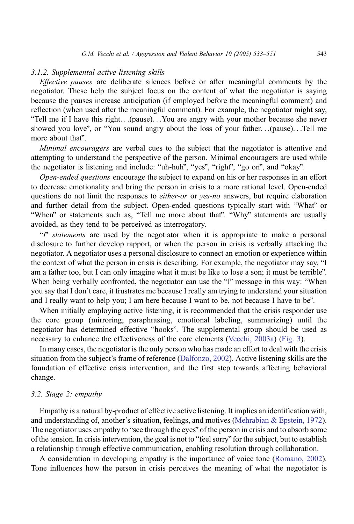### 3.1.2. Supplemental active listening skills

Effective pauses are deliberate silences before or after meaningful comments by the negotiator. These help the subject focus on the content of what the negotiator is saying because the pauses increase anticipation (if employed before the meaningful comment) and reflection (when used after the meaningful comment). For example, the negotiator might say, "Tell me if I have this right...(pause)...You are angry with your mother because she never showed you love", or "You sound angry about the loss of your father...(pause)...Tell me more about that".

Minimal encouragers are verbal cues to the subject that the negotiator is attentive and attempting to understand the perspective of the person. Minimal encouragers are used while the negotiator is listening and include: "uh-huh", "yes", "right", "go on", and "okay".

Open-ended questions encourage the subject to expand on his or her responses in an effort to decrease emotionality and bring the person in crisis to a more rational level. Open-ended questions do not limit the responses to *either-or* or yes-no answers, but require elaboration and further detail from the subject. Open-ended questions typically start with "What" or "When" or statements such as, "Tell me more about that". "Why" statements are usually avoided, as they tend to be perceived as interrogatory.

 $\mathcal{F}$  statements are used by the negotiator when it is appropriate to make a personal disclosure to further develop rapport, or when the person in crisis is verbally attacking the negotiator. A negotiator uses a personal disclosure to connect an emotion or experience within the context of what the person in crisis is describing. For example, the negotiator may say, "I am a father too, but I can only imagine what it must be like to lose a son; it must be terrible". When being verbally confronted, the negotiator can use the "I" message in this way: "When you say that I don't care, it frustrates me because I really am trying to understand your situation and I really want to help you; I am here because I want to be, not because I have to be".

When initially employing active listening, it is recommended that the crisis responder use the core group (mirroring, paraphrasing, emotional labeling, summarizing) until the negotiator has determined effective "hooks". The supplemental group should be used as necessary to enhance the effectiveness of the core elements ([Vecchi, 2003a\)](#page-18-0) ([Fig. 3\)](#page-11-0).

In many cases, the negotiator is the only person who has made an effort to deal with the crisis situation from the subject's frame of reference ([Dalfonzo, 2002\)](#page-17-0). Active listening skills are the foundation of effective crisis intervention, and the first step towards affecting behavioral change.

### 3.2. Stage 2: empathy

Empathy is a natural by-product of effective active listening. It implies an identification with, and understanding of, another's situation, feelings, and motives ([Mehrabian & Epstein, 1972\)](#page-18-0). The negotiator uses empathy to "see through the eyes" of the person in crisis and to absorb some of the tension. In crisis intervention, the goal is not to "feel sorry" for the subject, but to establish a relationship through effective communication, enabling resolution through collaboration.

A consideration in developing empathy is the importance of voice tone ([Romano, 2002\)](#page-18-0). Tone influences how the person in crisis perceives the meaning of what the negotiator is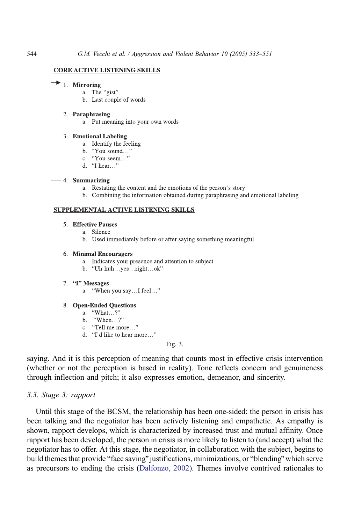#### **CORE ACTIVE LISTENING SKILLS**

#### 1. Mirroring

- a. The "gist"
- b. Last couple of words

#### 2. Paraphrasing

a. Put meaning into your own words

#### 3. Emotional Labeling

- a. Identify the feeling
- b. "You sound..."
- c. "You seem..."
- d. "I hear..."

#### 4. Summarizing

- a. Restating the content and the emotions of the person's story
- b. Combining the information obtained during paraphrasing and emotional labeling

#### SUPPLEMENTAL ACTIVE LISTENING SKILLS

### 5. Effective Pauses

- a. Silence
- b. Used immediately before or after saying something meaningful

#### 6. Minimal Encouragers

- a. Indicates your presence and attention to subject
- b. "Uh-huh...yes...right...ok"

#### 7. "I" Messages

a. "When you say...I feel..."

#### 8. Open-Ended Questions

- a. "What...?"
- b. "When...?"
- c. "Tell me more..."
- d. "I'd like to hear more..."

### Fig. 3.

saying. And it is this perception of meaning that counts most in effective crisis intervention (whether or not the perception is based in reality). Tone reflects concern and genuineness through inflection and pitch; it also expresses emotion, demeanor, and sincerity.

# 3.3. Stage 3: rapport

Until this stage of the BCSM, the relationship has been one-sided: the person in crisis has been talking and the negotiator has been actively listening and empathetic. As empathy is shown, rapport develops, which is characterized by increased trust and mutual affinity. Once rapport has been developed, the person in crisis is more likely to listen to (and accept) what the negotiator has to offer. At this stage, the negotiator, in collaboration with the subject, begins to build themes that provide "face saving" justifications, minimizations, or "blending" which serve as precursors to ending the crisis ([Dalfonzo, 2002\)](#page-17-0). Themes involve contrived rationales to

<span id="page-11-0"></span>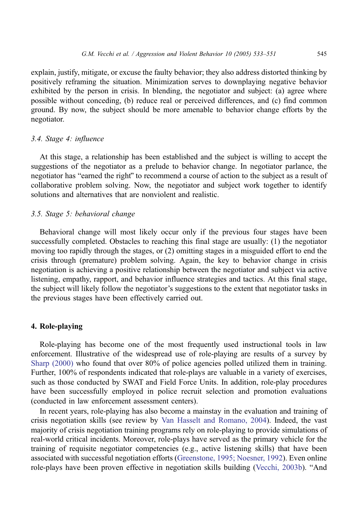explain, justify, mitigate, or excuse the faulty behavior; they also address distorted thinking by positively reframing the situation. Minimization serves to downplaying negative behavior exhibited by the person in crisis. In blending, the negotiator and subject: (a) agree where possible without conceding, (b) reduce real or perceived differences, and (c) find common ground. By now, the subject should be more amenable to behavior change efforts by the negotiator.

# 3.4. Stage 4: influence

At this stage, a relationship has been established and the subject is willing to accept the suggestions of the negotiator as a prelude to behavior change. In negotiator parlance, the negotiator has "earned the right" to recommend a course of action to the subject as a result of collaborative problem solving. Now, the negotiator and subject work together to identify solutions and alternatives that are nonviolent and realistic.

# 3.5. Stage 5: behavioral change

Behavioral change will most likely occur only if the previous four stages have been successfully completed. Obstacles to reaching this final stage are usually: (1) the negotiator moving too rapidly through the stages, or (2) omitting stages in a misguided effort to end the crisis through (premature) problem solving. Again, the key to behavior change in crisis negotiation is achieving a positive relationship between the negotiator and subject via active listening, empathy, rapport, and behavior influence strategies and tactics. At this final stage, the subject will likely follow the negotiator's suggestions to the extent that negotiator tasks in the previous stages have been effectively carried out.

### 4. Role-playing

Role-playing has become one of the most frequently used instructional tools in law enforcement. Illustrative of the widespread use of role-playing are results of a survey by [Sharp \(2000\)](#page-18-0) who found that over 80% of police agencies polled utilized them in training. Further, 100% of respondents indicated that role-plays are valuable in a variety of exercises, such as those conducted by SWAT and Field Force Units. In addition, role-play procedures have been successfully employed in police recruit selection and promotion evaluations (conducted in law enforcement assessment centers).

In recent years, role-playing has also become a mainstay in the evaluation and training of crisis negotiation skills (see review by [Van Hasselt and Romano, 2004\)](#page-18-0). Indeed, the vast majority of crisis negotiation training programs rely on role-playing to provide simulations of real-world critical incidents. Moreover, role-plays have served as the primary vehicle for the training of requisite negotiator competencies (e.g., active listening skills) that have been associated with successful negotiation efforts ([Greenstone, 1995; Noesner, 1992\)](#page-17-0). Even online role-plays have been proven effective in negotiation skills building ([Vecchi, 2003b\)](#page-18-0). "And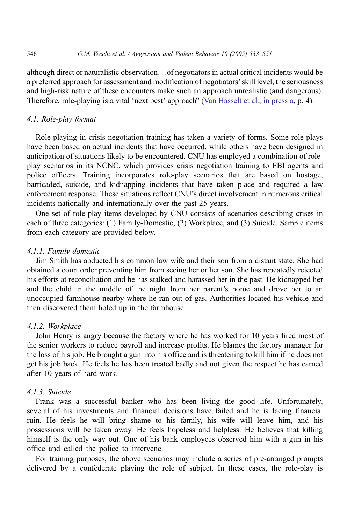although direct or naturalistic observation...of negotiators in actual critical incidents would be a preferred approach for assessment and modification of negotiators' skill level, the seriousness and high-risk nature of these encounters make such an approach unrealistic (and dangerous). Therefore, role-playing is a vital 'next best' approach" ([Van Hasselt et al., in press a,](#page-18-0) p. 4).

# 4.1. Role-play format

Role-playing in crisis negotiation training has taken a variety of forms. Some role-plays have been based on actual incidents that have occurred, while others have been designed in anticipation of situations likely to be encountered. CNU has employed a combination of roleplay scenarios in its NCNC, which provides crisis negotiation training to FBI agents and police officers. Training incorporates role-play scenarios that are based on hostage, barricaded, suicide, and kidnapping incidents that have taken place and required a law enforcement response. These situations reflect CNU's direct involvement in numerous critical incidents nationally and internationally over the past 25 years.

One set of role-play items developed by CNU consists of scenarios describing crises in each of three categories: (1) Family-Domestic, (2) Workplace, and (3) Suicide. Sample items from each category are provided below.

### 4.1.1. Family-domestic

Jim Smith has abducted his common law wife and their son from a distant state. She had obtained a court order preventing him from seeing her or her son. She has repeatedly rejected his efforts at reconciliation and he has stalked and harassed her in the past. He kidnapped her and the child in the middle of the night from her parent's home and drove her to an unoccupied farmhouse nearby where he ran out of gas. Authorities located his vehicle and then discovered them holed up in the farmhouse.

# 4.1.2. Workplace

John Henry is angry because the factory where he has worked for 10 years fired most of the senior workers to reduce payroll and increase profits. He blames the factory manager for the loss of his job. He brought a gun into his office and is threatening to kill him if he does not get his job back. He feels he has been treated badly and not given the respect he has earned after 10 years of hard work.

# 4.1.3. Suicide

Frank was a successful banker who has been living the good life. Unfortunately, several of his investments and financial decisions have failed and he is facing financial ruin. He feels he will bring shame to his family, his wife will leave him, and his possessions will be taken away. He feels hopeless and helpless. He believes that killing himself is the only way out. One of his bank employees observed him with a gun in his office and called the police to intervene.

For training purposes, the above scenarios may include a series of pre-arranged prompts delivered by a confederate playing the role of subject. In these cases, the role-play is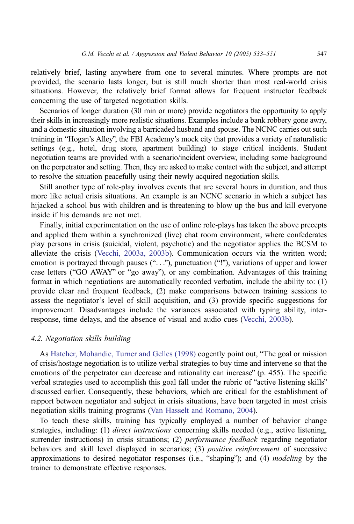relatively brief, lasting anywhere from one to several minutes. Where prompts are not provided, the scenario lasts longer, but is still much shorter than most real-world crisis situations. However, the relatively brief format allows for frequent instructor feedback concerning the use of targeted negotiation skills.

Scenarios of longer duration (30 min or more) provide negotiators the opportunity to apply their skills in increasingly more realistic situations. Examples include a bank robbery gone awry, and a domestic situation involving a barricaded husband and spouse. The NCNC carries out such training in "Hogan's Alley", the FBI Academy's mock city that provides a variety of naturalistic settings (e.g., hotel, drug store, apartment building) to stage critical incidents. Student negotiation teams are provided with a scenario/incident overview, including some background on the perpetrator and setting. Then, they are asked to make contact with the subject, and attempt to resolve the situation peacefully using their newly acquired negotiation skills.

Still another type of role-play involves events that are several hours in duration, and thus more like actual crisis situations. An example is an NCNC scenario in which a subject has hijacked a school bus with children and is threatening to blow up the bus and kill everyone inside if his demands are not met.

Finally, initial experimentation on the use of online role-plays has taken the above precepts and applied them within a synchronized (live) chat room environment, where confederates play persons in crisis (suicidal, violent, psychotic) and the negotiator applies the BCSM to alleviate the crisis ([Vecchi, 2003a, 2003b\)](#page-18-0). Communication occurs via the written word; emotion is portrayed through pauses  $(\cdot, \cdot, \cdot)$ , punctuation  $(\cdot, \cdot)$ , variations of upper and lower case letters ("GO AWAY" or "go away"), or any combination. Advantages of this training format in which negotiations are automatically recorded verbatim, include the ability to: (1) provide clear and frequent feedback, (2) make comparisons between training sessions to assess the negotiator's level of skill acquisition, and (3) provide specific suggestions for improvement. Disadvantages include the variances associated with typing ability, interresponse, time delays, and the absence of visual and audio cues ([Vecchi, 2003b\)](#page-18-0).

### 4.2. Negotiation skills building

As [Hatcher, Mohandie, Turner and Gelles \(1998\)](#page-17-0) cogently point out, "The goal or mission of crisis/hostage negotiation is to utilize verbal strategies to buy time and intervene so that the emotions of the perpetrator can decrease and rationality can increase" (p.  $455$ ). The specific verbal strategies used to accomplish this goal fall under the rubric of "active listening skills" discussed earlier. Consequently, these behaviors, which are critical for the establishment of rapport between negotiator and subject in crisis situations, have been targeted in most crisis negotiation skills training programs ([Van Hasselt and Romano, 2004\)](#page-18-0).

To teach these skills, training has typically employed a number of behavior change strategies, including: (1) *direct instructions* concerning skills needed (e.g., active listening, surrender instructions) in crisis situations; (2) *performance feedback* regarding negotiator behaviors and skill level displayed in scenarios; (3) *positive reinforcement* of successive approximations to desired negotiator responses (i.e., "shaping"); and  $(4)$  modeling by the trainer to demonstrate effective responses.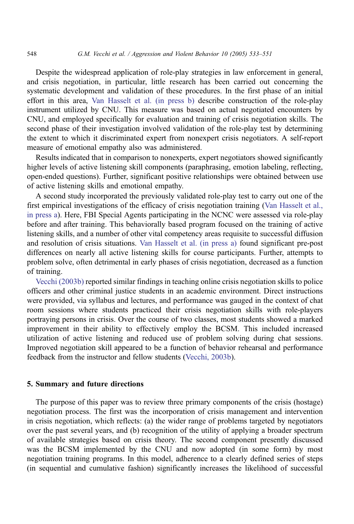Despite the widespread application of role-play strategies in law enforcement in general, and crisis negotiation, in particular, little research has been carried out concerning the systematic development and validation of these procedures. In the first phase of an initial effort in this area, [Van Hasselt et al. \(in press b\)](#page-18-0) describe construction of the role-play instrument utilized by CNU. This measure was based on actual negotiated encounters by CNU, and employed specifically for evaluation and training of crisis negotiation skills. The second phase of their investigation involved validation of the role-play test by determining the extent to which it discriminated expert from nonexpert crisis negotiators. A self-report measure of emotional empathy also was administered.

Results indicated that in comparison to nonexperts, expert negotiators showed significantly higher levels of active listening skill components (paraphrasing, emotion labeling, reflecting, open-ended questions). Further, significant positive relationships were obtained between use of active listening skills and emotional empathy.

A second study incorporated the previously validated role-play test to carry out one of the first empirical investigations of the efficacy of crisis negotiation training ([Van Hasselt et al.,](#page-18-0) in press a). Here, FBI Special Agents participating in the NCNC were assessed via role-play before and after training. This behaviorally based program focused on the training of active listening skills, and a number of other vital competency areas requisite to successful diffusion and resolution of crisis situations. [Van Hasselt et al. \(in press a\)](#page-18-0) found significant pre-post differences on nearly all active listening skills for course participants. Further, attempts to problem solve, often detrimental in early phases of crisis negotiation, decreased as a function of training.

[Vecchi \(2003b\)](#page-18-0) reported similar findings in teaching online crisis negotiation skills to police officers and other criminal justice students in an academic environment. Direct instructions were provided, via syllabus and lectures, and performance was gauged in the context of chat room sessions where students practiced their crisis negotiation skills with role-players portraying persons in crisis. Over the course of two classes, most students showed a marked improvement in their ability to effectively employ the BCSM. This included increased utilization of active listening and reduced use of problem solving during chat sessions. Improved negotiation skill appeared to be a function of behavior rehearsal and performance feedback from the instructor and fellow students ([Vecchi, 2003b\)](#page-18-0).

### 5. Summary and future directions

The purpose of this paper was to review three primary components of the crisis (hostage) negotiation process. The first was the incorporation of crisis management and intervention in crisis negotiation, which reflects: (a) the wider range of problems targeted by negotiators over the past several years, and (b) recognition of the utility of applying a broader spectrum of available strategies based on crisis theory. The second component presently discussed was the BCSM implemented by the CNU and now adopted (in some form) by most negotiation training programs. In this model, adherence to a clearly defined series of steps (in sequential and cumulative fashion) significantly increases the likelihood of successful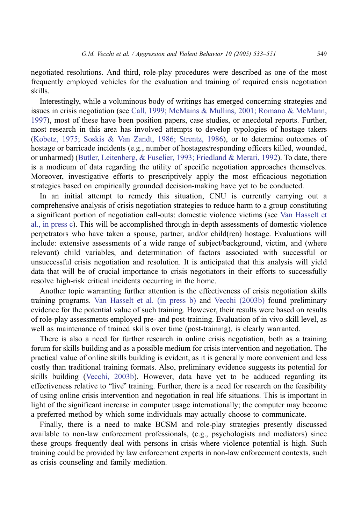negotiated resolutions. And third, role-play procedures were described as one of the most frequently employed vehicles for the evaluation and training of required crisis negotiation skills.

Interestingly, while a voluminous body of writings has emerged concerning strategies and issues in crisis negotiation (see [Call, 1999; McMains & Mullins, 2001; Romano & McMann,](#page-17-0) 1997), most of these have been position papers, case studies, or anecdotal reports. Further, most research in this area has involved attempts to develop typologies of hostage takers [\(Kobetz, 1975; Soskis & Van Zandt, 1986; Strentz, 1986\)](#page-17-0), or to determine outcomes of hostage or barricade incidents (e.g., number of hostages/responding officers killed, wounded, or unharmed) ([Butler, Leitenberg, & Fuselier, 1993; Friedland & Merari, 1992\)](#page-17-0). To date, there is a modicum of data regarding the utility of specific negotiation approaches themselves. Moreover, investigative efforts to prescriptively apply the most efficacious negotiation strategies based on empirically grounded decision-making have yet to be conducted.

In an initial attempt to remedy this situation, CNU is currently carrying out a comprehensive analysis of crisis negotiation strategies to reduce harm to a group constituting a significant portion of negotiation call-outs: domestic violence victims (see [Van Hasselt et](#page-18-0) al., in press c). This will be accomplished through in-depth assessments of domestic violence perpetrators who have taken a spouse, partner, and/or child(ren) hostage. Evaluations will include: extensive assessments of a wide range of subject/background, victim, and (where relevant) child variables, and determination of factors associated with successful or unsuccessful crisis negotiation and resolution. It is anticipated that this analysis will yield data that will be of crucial importance to crisis negotiators in their efforts to successfully resolve high-risk critical incidents occurring in the home.

Another topic warranting further attention is the effectiveness of crisis negotiation skills training programs. [Van Hasselt et al. \(in press b\)](#page-18-0) and [Vecchi \(2003b\)](#page-18-0) found preliminary evidence for the potential value of such training. However, their results were based on results of role-play assessments employed pre- and post-training. Evaluation of in vivo skill level, as well as maintenance of trained skills over time (post-training), is clearly warranted.

There is also a need for further research in online crisis negotiation, both as a training forum for skills building and as a possible medium for crisis intervention and negotiation. The practical value of online skills building is evident, as it is generally more convenient and less costly than traditional training formats. Also, preliminary evidence suggests its potential for skills building ([Vecchi, 2003b\)](#page-18-0). However, data have yet to be adduced regarding its effectiveness relative to "live" training. Further, there is a need for research on the feasibility of using online crisis intervention and negotiation in real life situations. This is important in light of the significant increase in computer usage internationally; the computer may become a preferred method by which some individuals may actually choose to communicate.

Finally, there is a need to make BCSM and role-play strategies presently discussed available to non-law enforcement professionals, (e.g., psychologists and mediators) since these groups frequently deal with persons in crisis where violence potential is high. Such training could be provided by law enforcement experts in non-law enforcement contexts, such as crisis counseling and family mediation.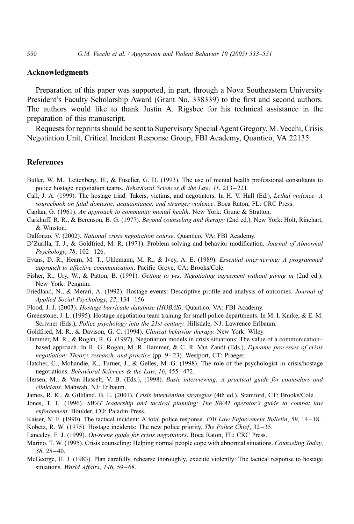### Acknowledgments

Preparation of this paper was supported, in part, through a Nova Southeastern University President's Faculty Scholarship Award (Grant No. 338339) to the first and second authors. The authors would like to thank Justin A. Rigsbee for his technical assistance in the preparation of this manuscript.

Requests for reprints should be sent to Supervisory Special Agent Gregory, M. Vecchi, Crisis Negotiation Unit, Critical Incident Response Group, FBI Academy, Quantico, VA 22135.

### References

- Butler, W. M., Leitenberg, H., & Fuselier, G. D. (1993). The use of mental health professional consultants to police hostage negotiation teams. Behavioral Sciences & the Law, 11, 213-221.
- Call, J. A. (1999). The hostage triad: Takers, victims, and negotiators. In H. V. Hall (Ed.), Lethal violence: A sourcebook on fatal domestic, acquaintance, and stranger violence. Boca Raton, FL: CRC Press.
- Caplan, G. (1961). An approach to community mental health. New York: Grune & Stratton.
- Carkhuff, R. R., & Berenson, B. G. (1977). Beyond counseling and therapy (2nd ed.). New York: Holt, Rinehart, & Winston.

Dalfonzo, V. (2002). National crisis negotiation course. Quantico, VA: FBI Academy.

- D'Zurilla, T. J., & Goldfried, M. R. (1971). Problem solving and behavior modification. Journal of Abnormal Psychology, 78, 102-126.
- Evans, D. R., Hearn, M. T., Uhlemann, M. R., & Ivey, A. E. (1989). Essential interviewing: A programmed approach to affective communication. Pacific Grove, CA: Brooks/Cole.
- Fisher, R., Ury, W., & Patton, B. (1991). Getting to yes: Negotiating agreement without giving in (2nd ed.). New York: Penguin.
- Friedland, N., & Merari, A. (1992). Hostage events: Descriptive profile and analysis of outcomes. *Journal of* Applied Social Psychology, 22, 134-156.
- Flood, J. J. (2003). Hostage barricade database (HOBAS). Quantico, VA: FBI Academy.
- Greenstone, J. L. (1995). Hostage negotiation team training for small police departments. In M. I. Kurke, & E. M. Scrivner (Eds.), Police psychology into the 21st century. Hillsdale, NJ: Lawrence Erlbaum.
- Goldfried, M. R., & Davison, G. C. (1994). *Clinical behavior therapy*. New York: Wiley.
- Hammer, M. R., & Rogan, R. G. (1997). Negotiation models in crisis situations: The value of a communication– based approach. In R. G. Rogan, M. R. Hammer, & C. R. Van Zandt (Eds.), *Dynamic processes of crisis* negotiation: Theory, research, and practice (pp. 9-23). Westport, CT: Praeger.
- Hatcher, C., Mohandie, K., Turner, J., & Gelles, M. G. (1998). The role of the psychologist in crisis/hostage negotiations. *Behavioral Sciences & the Law, 16, 455-472*.
- Hersen, M., & Van Hasselt, V. B. (Eds.), (1998). Basic interviewing: A practical guide for counselors and clinicians. Mahwah, NJ: Erlbaum.
- James, R. K., & Gilliland, B. E. (2001). Crisis intervention strategies (4th ed.). Stamford, CT: Brooks/Cole.
- Jones, T. L. (1996). SWAT leadership and tactical planning: The SWAT operator's guide to combat law enforcement. Boulder, CO: Paladin Press.
- Kaiser, N. F. (1990). The tactical incident: A total police response. FBI Law Enforcement Bulletin, 59, 14–18.
- Kobetz, R. W. (1975). Hostage incidents: The new police priority. The Police Chief, 32–35.
- Lanceley, F. J. (1999). On-scene guide for crisis negotiators. Boca Raton, FL: CRC Press.
- Marino, T. W. (1995). Crisis counseling: Helping normal people cope with abnormal situations. Counseling Today, 38, 25 – 40.
- McGeorge, H. J. (1983). Plan carefully, rehearse thoroughly, execute violently: The tactical response to hostage situations. World Affairs, 146, 59-68.

<span id="page-17-0"></span>